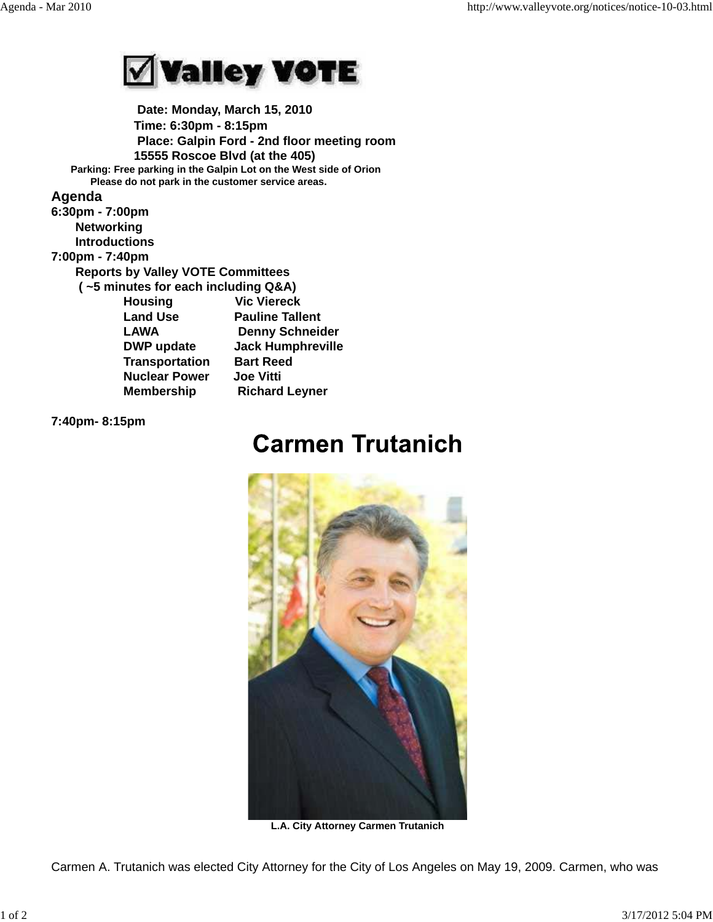

 **Date: Monday, March 15, 2010 Time: 6:30pm - 8:15pm Place: Galpin Ford - 2nd floor meeting room 15555 Roscoe Blvd (at the 405) Parking: Free parking in the Galpin Lot on the West side of Orion Please do not park in the customer service areas.**

## **Agenda**

**6:30pm - 7:00pm Networking Introductions 7:00pm - 7:40pm Reports by Valley VOTE Committees ( ~5 minutes for each including Q&A) Housing Vic Viereck Land Use Pauline Tallent LAWA Denny Schneider DWP update Jack Humphreville Transportation Bart Reed Nuclear Power Joe Vitti Membership Richard Leyner** 

**7:40pm- 8:15pm** 

## **Carmen Trutanich**



**L.A. City Attorney Carmen Trutanich**

Carmen A. Trutanich was elected City Attorney for the City of Los Angeles on May 19, 2009. Carmen, who was